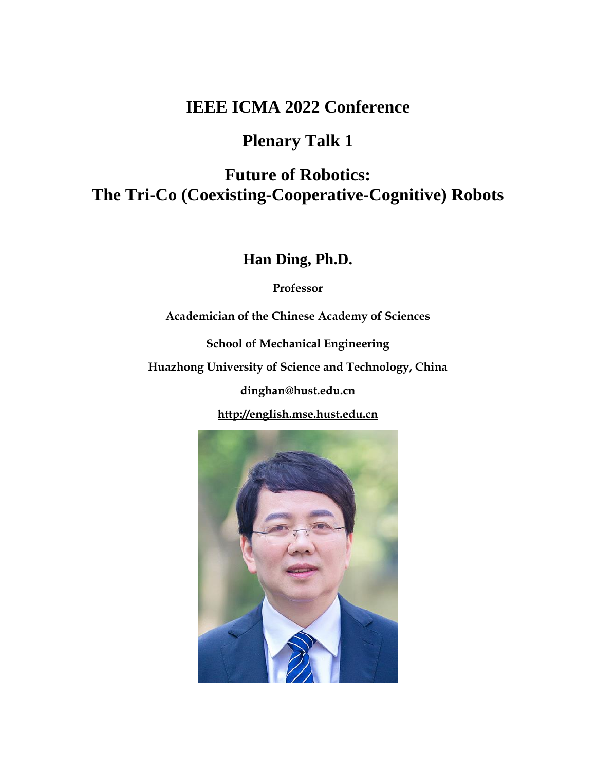## **Plenary Talk 1**

# **Future of Robotics: The Tri-Co (Coexisting-Cooperative-Cognitive) Robots**

**Han Ding, Ph.D.**

**Professor**

**Academician of the Chinese Academy of Sciences**

**School of Mechanical Engineering**

**Huazhong University of Science and Technology, China**

**dinghan@hust.edu.cn**

**[http://english.mse.hust.edu.cn](http://english.mse.hust.edu.cn/)**

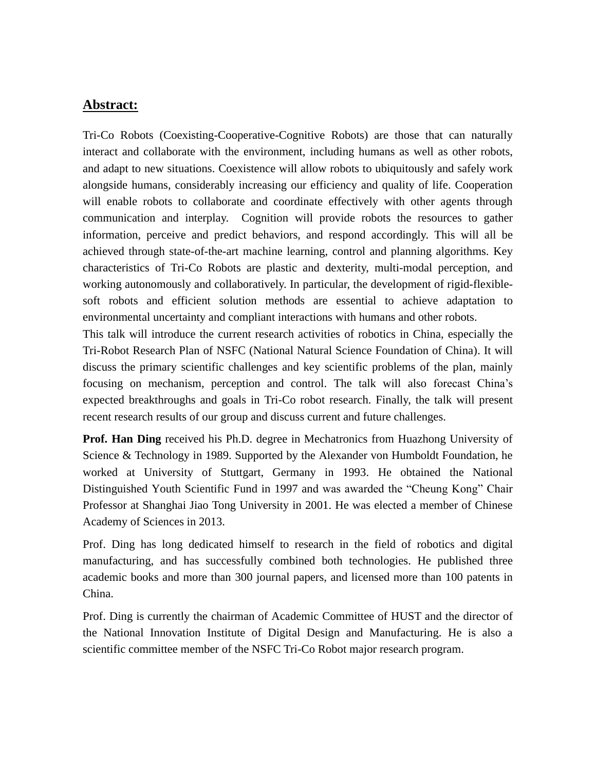Tri-Co Robots (Coexisting-Cooperative-Cognitive Robots) are those that can naturally interact and collaborate with the environment, including humans as well as other robots, and adapt to new situations. Coexistence will allow robots to ubiquitously and safely work alongside humans, considerably increasing our efficiency and quality of life. Cooperation will enable robots to collaborate and coordinate effectively with other agents through communication and interplay. Cognition will provide robots the resources to gather information, perceive and predict behaviors, and respond accordingly. This will all be achieved through state-of-the-art machine learning, control and planning algorithms. Key characteristics of Tri-Co Robots are plastic and dexterity, multi-modal perception, and working autonomously and collaboratively. In particular, the development of rigid-flexiblesoft robots and efficient solution methods are essential to achieve adaptation to environmental uncertainty and compliant interactions with humans and other robots.

This talk will introduce the current research activities of robotics in China, especially the Tri-Robot Research Plan of NSFC (National Natural Science Foundation of China). It will discuss the primary scientific challenges and key scientific problems of the plan, mainly focusing on mechanism, perception and control. The talk will also forecast China's expected breakthroughs and goals in Tri-Co robot research. Finally, the talk will present recent research results of our group and discuss current and future challenges.

**Prof. Han Ding** received his Ph.D. degree in Mechatronics from Huazhong University of Science & Technology in 1989. Supported by the Alexander von Humboldt Foundation, he worked at University of Stuttgart, Germany in 1993. He obtained the National Distinguished Youth Scientific Fund in 1997 and was awarded the "Cheung Kong" Chair Professor at Shanghai Jiao Tong University in 2001. He was elected a member of Chinese Academy of Sciences in 2013.

Prof. Ding has long dedicated himself to research in the field of robotics and digital manufacturing, and has successfully combined both technologies. He published three academic books and more than 300 journal papers, and licensed more than 100 patents in China.

Prof. Ding is currently the chairman of Academic Committee of HUST and the director of the National Innovation Institute of Digital Design and Manufacturing. He is also a scientific committee member of the NSFC Tri-Co Robot major research program.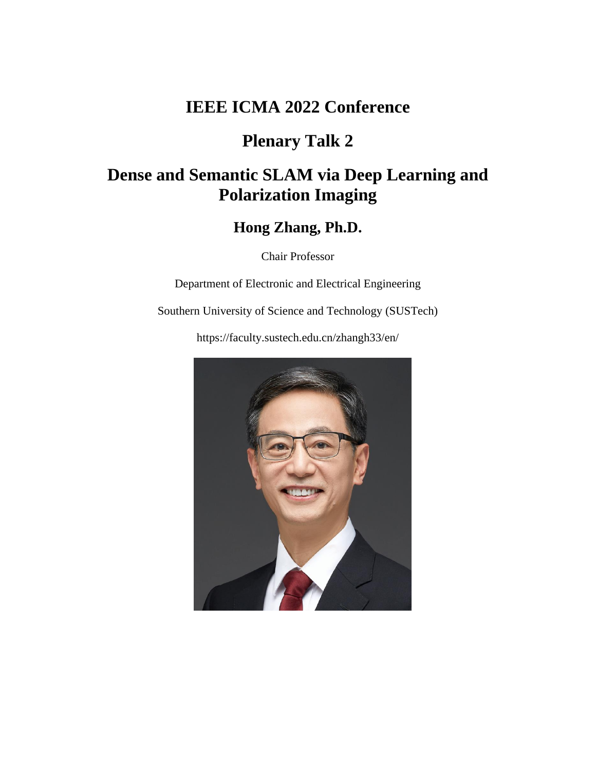## **Plenary Talk 2**

# **Dense and Semantic SLAM via Deep Learning and Polarization Imaging**

### **Hong Zhang, Ph.D.**

Chair Professor

Department of Electronic and Electrical Engineering

Southern University of Science and Technology (SUSTech)

https://faculty.sustech.edu.cn/zhangh33/en/

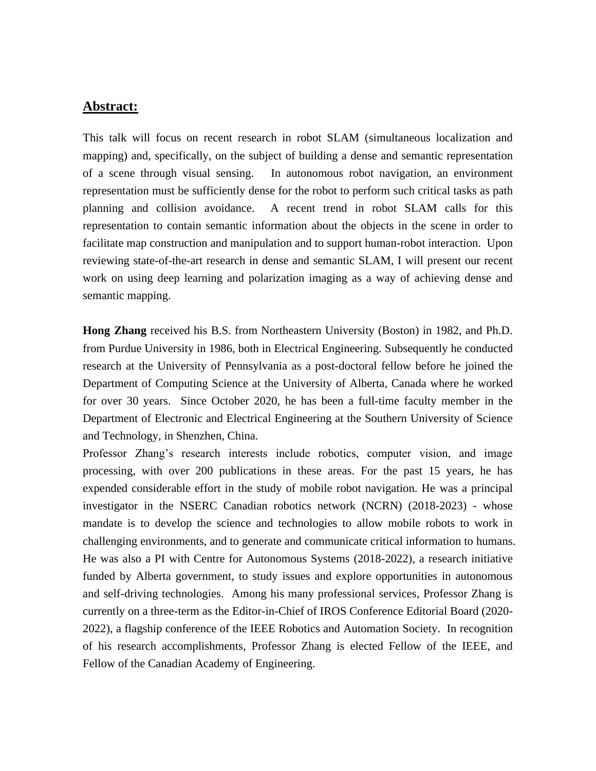This talk will focus on recent research in robot SLAM (simultaneous localization and mapping) and, specifically, on the subject of building a dense and semantic representation of a scene through visual sensing. In autonomous robot navigation, an environment representation must be sufficiently dense for the robot to perform such critical tasks as path planning and collision avoidance. A recent trend in robot SLAM calls for this representation to contain semantic information about the objects in the scene in order to facilitate map construction and manipulation and to support human-robot interaction. Upon reviewing state-of-the-art research in dense and semantic SLAM, I will present our recent work on using deep learning and polarization imaging as a way of achieving dense and semantic mapping.

**Hong Zhang** received his B.S. from Northeastern University (Boston) in 1982, and Ph.D. from Purdue University in 1986, both in Electrical Engineering. Subsequently he conducted research at the University of Pennsylvania as a post-doctoral fellow before he joined the Department of Computing Science at the University of Alberta, Canada where he worked for over 30 years. Since October 2020, he has been a full-time faculty member in the Department of Electronic and Electrical Engineering at the Southern University of Science and Technology, in Shenzhen, China.

Professor Zhang's research interests include robotics, computer vision, and image processing, with over 200 publications in these areas. For the past 15 years, he has expended considerable effort in the study of mobile robot navigation. He was a principal investigator in the NSERC Canadian robotics network (NCRN) (2018-2023) - whose mandate is to develop the science and technologies to allow mobile robots to work in challenging environments, and to generate and communicate critical information to humans. He was also a PI with Centre for Autonomous Systems (2018-2022), a research initiative funded by Alberta government, to study issues and explore opportunities in autonomous and self-driving technologies. Among his many professional services, Professor Zhang is currently on a three-term as the Editor-in-Chief of IROS Conference Editorial Board (2020- 2022), a flagship conference of the IEEE Robotics and Automation Society. In recognition of his research accomplishments, Professor Zhang is elected Fellow of the IEEE, and Fellow of the Canadian Academy of Engineering.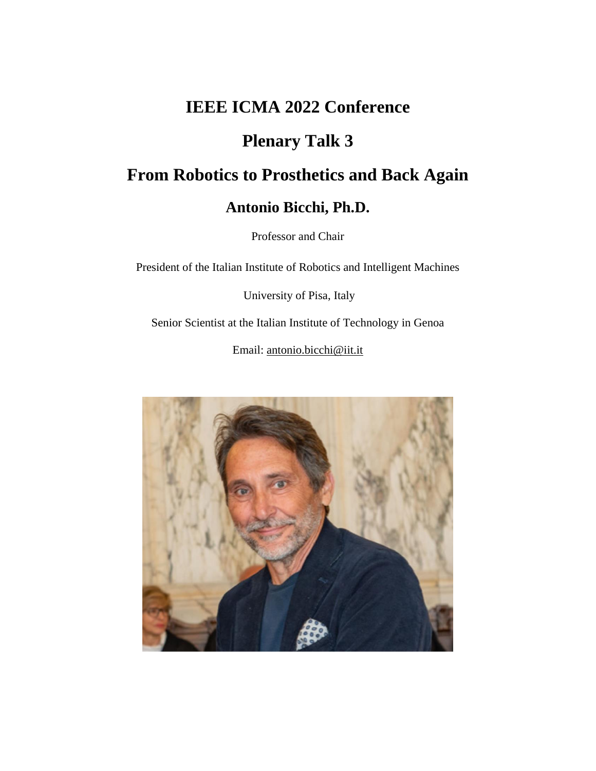## **Plenary Talk 3**

# **From Robotics to Prosthetics and Back Again**

## **Antonio Bicchi, Ph.D.**

Professor and Chair

President of the Italian Institute of Robotics and Intelligent Machines

[University of Pisa,](http://www.unipi.it/) Italy

Senior Scientist at the [Italian Institute of Technology](http://www.iit.it/) in Genoa

Email: [antonio.bicchi@iit.it](mailto:antonio.bicchi@iit.it)

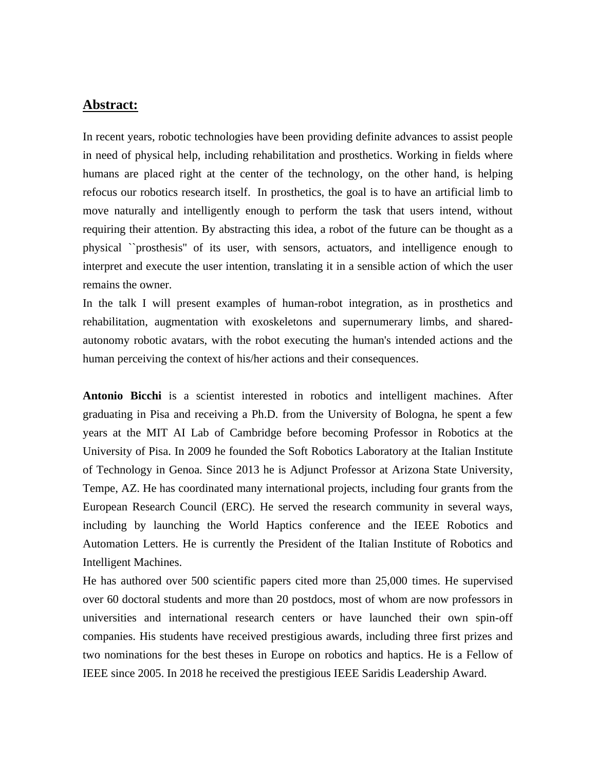In recent years, robotic technologies have been providing definite advances to assist people in need of physical help, including rehabilitation and prosthetics. Working in fields where humans are placed right at the center of the technology, on the other hand, is helping refocus our robotics research itself. In prosthetics, the goal is to have an artificial limb to move naturally and intelligently enough to perform the task that users intend, without requiring their attention. By abstracting this idea, a robot of the future can be thought as a physical ``prosthesis'' of its user, with sensors, actuators, and intelligence enough to interpret and execute the user intention, translating it in a sensible action of which the user remains the owner.

In the talk I will present examples of human-robot integration, as in prosthetics and rehabilitation, augmentation with exoskeletons and supernumerary limbs, and sharedautonomy robotic avatars, with the robot executing the human's intended actions and the human perceiving the context of his/her actions and their consequences.

**Antonio Bicchi** is a scientist interested in robotics and intelligent machines. After graduating in Pisa and receiving a Ph.D. from the University of Bologna, he spent a few years at the MIT AI Lab of Cambridge before becoming Professor in Robotics at the University of Pisa. In 2009 he founded the Soft Robotics Laboratory at the Italian Institute of Technology in Genoa. Since 2013 he is Adjunct Professor at Arizona State University, Tempe, AZ. He has coordinated many international projects, including four grants from the European Research Council (ERC). He served the research community in several ways, including by launching the World Haptics conference and the IEEE Robotics and Automation Letters. He is currently the President of the Italian Institute of Robotics and Intelligent Machines.

He has authored over 500 scientific papers cited more than 25,000 times. He supervised over 60 doctoral students and more than 20 postdocs, most of whom are now professors in universities and international research centers or have launched their own spin-off companies. His students have received prestigious awards, including three first prizes and two nominations for the best theses in Europe on robotics and haptics. He is a Fellow of IEEE since 2005. In 2018 he received the prestigious IEEE Saridis Leadership Award.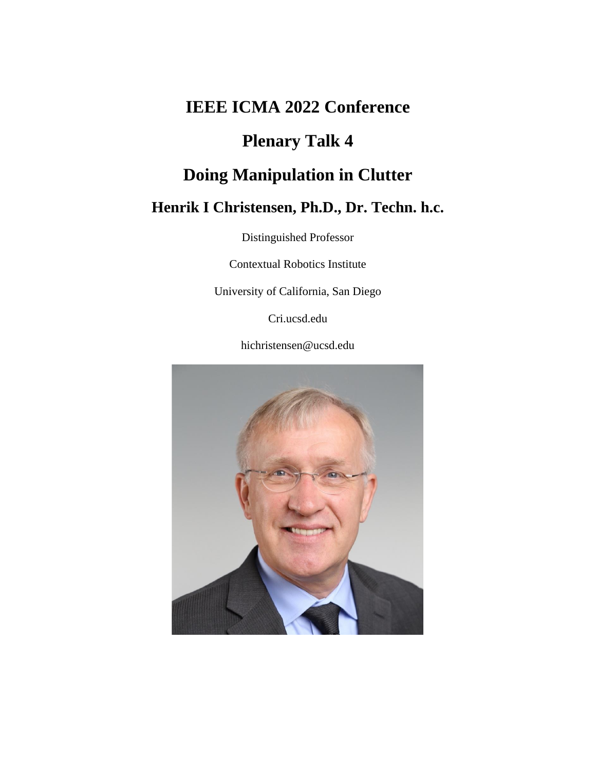# **Plenary Talk 4**

# **Doing Manipulation in Clutter**

## **Henrik I Christensen, Ph.D., Dr. Techn. h.c.**

Distinguished Professor

Contextual Robotics Institute

University of California, San Diego

Cri.ucsd.edu

hichristensen@ucsd.edu